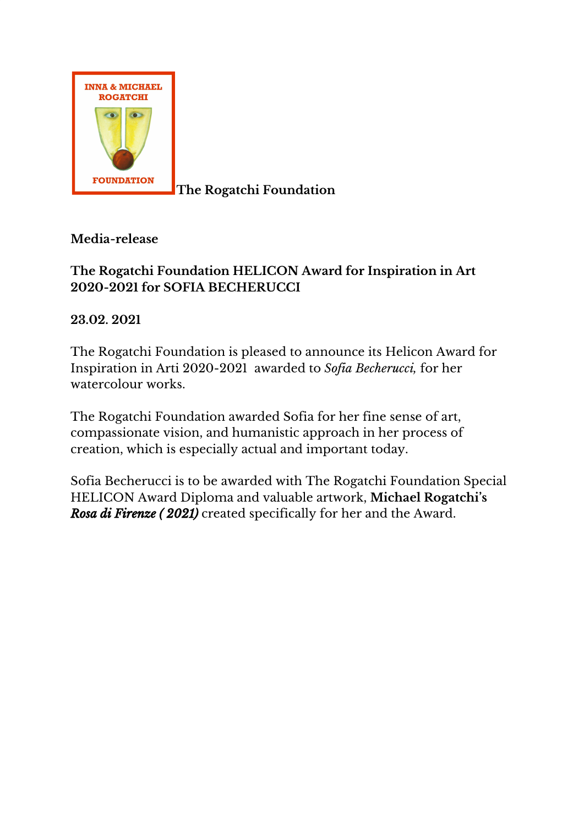

**Media-release**

## **The Rogatchi Foundation HELICON Award for Inspiration in Art 2020-2021 for SOFIA BECHERUCCI**

**23.02. 2021**

The Rogatchi Foundation is pleased to announce its Helicon Award for Inspiration in Arti 2020-2021 awarded to *Sofia Becherucci,* for her watercolour works.

The Rogatchi Foundation awarded Sofia for her fine sense of art, compassionate vision, and humanistic approach in her process of creation, which is especially actual and important today.

Sofia Becherucci is to be awarded with The Rogatchi Foundation Special HELICON Award Diploma and valuable artwork, **Michael Rogatchi's** *Rosa di Firenze ( 2021)* created specifically for her and the Award.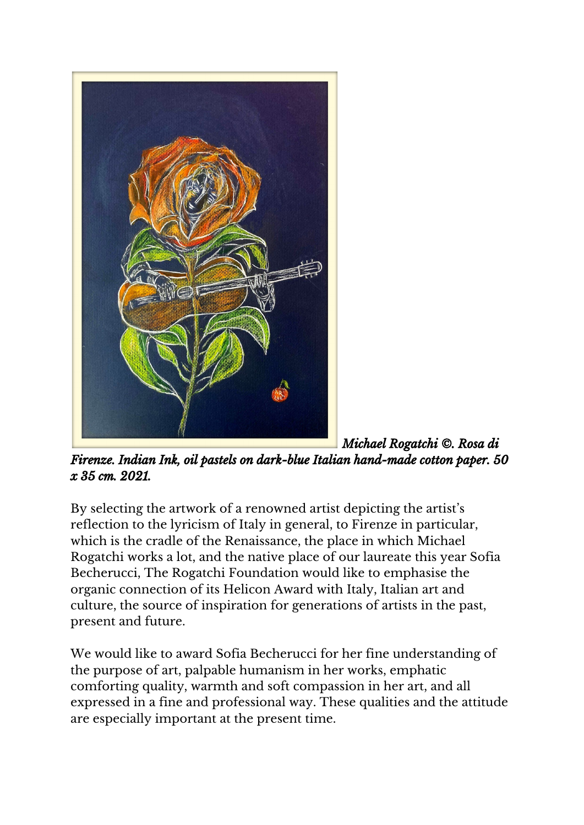

*Michael Rogatchi ©. Rosa di Firenze. Indian Ink, oil pastels on dark-blue Italian hand-made cotton paper. 50 x 35 cm. 2021.*

By selecting the artwork of a renowned artist depicting the artist's reflection to the lyricism of Italy in general, to Firenze in particular, which is the cradle of the Renaissance, the place in which Michael Rogatchi works a lot, and the native place of our laureate this year Sofia Becherucci, The Rogatchi Foundation would like to emphasise the organic connection of its Helicon Award with Italy, Italian art and culture, the source of inspiration for generations of artists in the past, present and future.

We would like to award Sofia Becherucci for her fine understanding of the purpose of art, palpable humanism in her works, emphatic comforting quality, warmth and soft compassion in her art, and all expressed in a fine and professional way. These qualities and the attitude are especially important at the present time.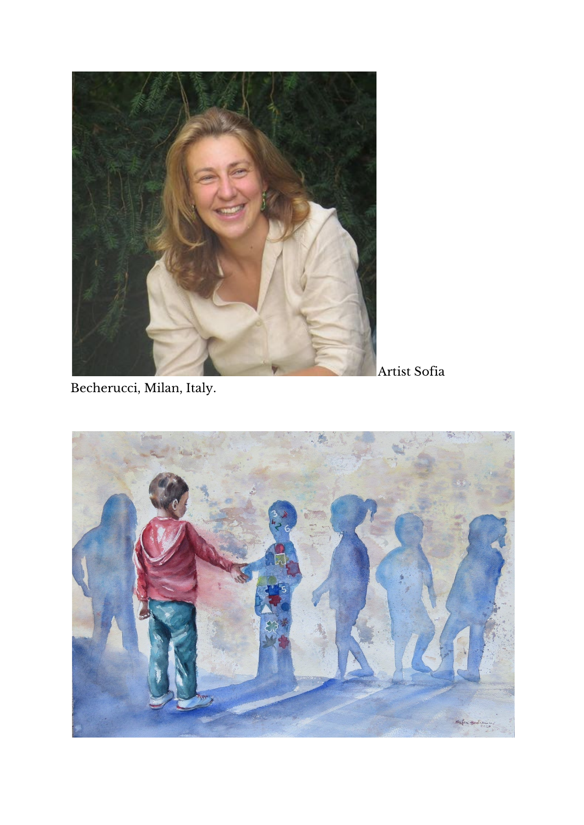

Artist Sofia

Becherucci, Milan, Italy.